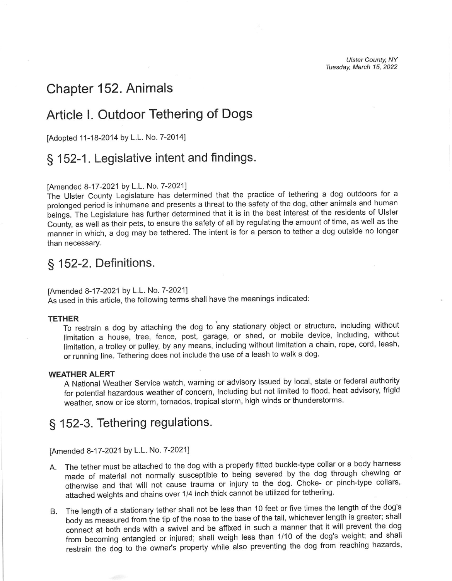# Chapter 152. Animals

# Article l. Outdoor Tethering of Dogs

[Adopted 11-18-2014 by L.L. No. 7-2014]

## § 152-1. Legislative intent and findings.

### fAmended 8-17-2021 by L.L. No. 7-2021]

The Ulster County Legislature has determined that the practice of tethering a dog outdoors for a prolonged period is inhumane and presents a threat to the safety of the dog, other animals and human beings. The Legislature has further determined that it is in the best interest of the residents of Ulster County, as well as their pets, to ensure the safety of all by regulating the amount of time, as well as the manner in which, a dog may be tethered. The intent is for a person to tether a dog outside no longer than necessary.

## § 152-2. Definitions.

### [Amended 8-17-2021 by L.L. No. 7-2021]

As used in this article, the following terms shall have the meanings indicated:

#### TETHER

To restrain a dog by attaching the dog to any stationary object or structure, including without limitation a house, tree, fence, post, garage, or shed, or mobile device, including, without limitation, a trolley or pulley, by any means, including without limitation a chain, rope, cord, leash, or running line. Tethering does not include the use of a leash to walk a dog

#### WEATHER ALERT

A National Weather Service watch, warning or advisory issued by local, state or federal authority for potential hazardous weather of concern, including but not limited to flood, heat advisory, frigid weather, snow or ice storm, tornados, tropical storm, high winds or thunderstorms.

# § 152-3. Tethering regulations.

[Amended 8-17-2021 by L.L. No. 7-2021]

- A. The tether must be attached to the dog with a properly fitted buckle-type collar or a body harness made of material not normally susceptible to being severed by the dog through chewing or otherwise and that will not cause trauma or injury to the dog. Choke- or pinch-type collars, attached weights and chains over 1/4 inch thick cannot be utilized for tethering.
- B. The length of a stationary tether shall not be less than 1O feet or five times the length of the dog's body as measured from the tip of the nose to the base of the tail, whichever length is greater; shall from becoming entangled or injured; shall weigh less than 1/10 of the dog's weight; and shall connect at both ends with a swivel and be affixed in such a manner that it will prevent the dog restrain the dog to the owner's property while also preventing the dog from reaching hazards,